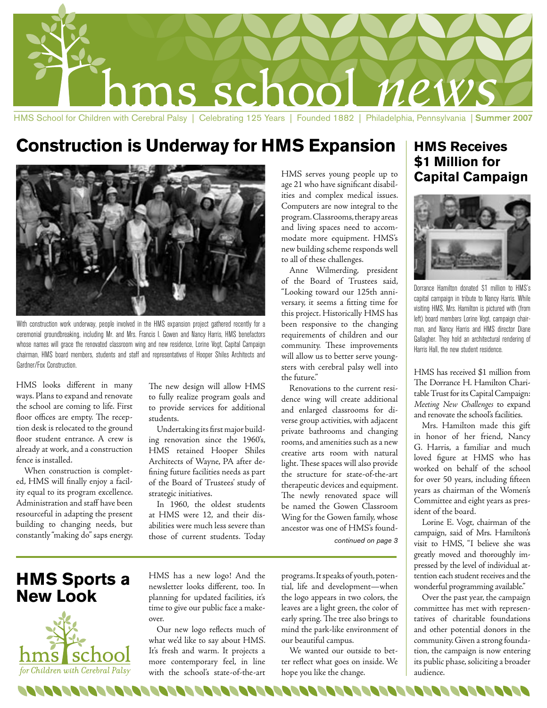

## **Construction is Underway for HMS Expansion**



With construction work underway, people involved in the HMS expansion project gathered recently for a ceremonial groundbreaking, including Mr. and Mrs. Francis I. Gowen and Nancy Harris, HMS benefactors whose names will grace the renovated classroom wing and new residence, Lorine Vogt, Capital Campaign chairman, HMS board members, students and staff and representatives of Hooper Shiles Architects and Gardner/Fox Construction.

HMS looks different in many ways. Plans to expand and renovate the school are coming to life. First floor offices are empty. The reception desk is relocated to the ground floor student entrance. A crew is already at work, and a construction fence is installed.

When construction is completed, HMS will finally enjoy a facility equal to its program excellence. Administration and staff have been resourceful in adapting the present building to changing needs, but constantly "making do" saps energy.

The new design will allow HMS to fully realize program goals and to provide services for additional students.

Undertaking its first major building renovation since the 1960's, HMS retained Hooper Shiles Architects of Wayne, PA after defining future facilities needs as part of the Board of Trustees' study of strategic initiatives.

In 1960, the oldest students at HMS were 12, and their disabilities were much less severe than those of current students. Today

HMS serves young people up to age 21 who have significant disabilities and complex medical issues. Computers are now integral to the program. Classrooms, therapy areas and living spaces need to accommodate more equipment. HMS's new building scheme responds well to all of these challenges.

Anne Wilmerding, president of the Board of Trustees said, "Looking toward our 125th anniversary, it seems a fitting time for this project. Historically HMS has been responsive to the changing requirements of children and our community. These improvements will allow us to better serve youngsters with cerebral palsy well into the future."

Renovations to the current residence wing will create additional and enlarged classrooms for diverse group activities, with adjacent private bathrooms and changing rooms, and amenities such as a new creative arts room with natural light. These spaces will also provide the structure for state-of-the-art therapeutic devices and equipment. The newly renovated space will be named the Gowen Classroom Wing for the Gowen family, whose ancestor was one of HMS's found-

continued on page 3

### **HMS Sports a New Look**



HMS has a new logo! And the newsletter looks different, too. In planning for updated facilities, it's time to give our public face a makeover.

Our new logo reflects much of what we'd like to say about HMS. It's fresh and warm. It projects a more contemporary feel, in line with the school's state-of-the-art

programs. It speaks of youth, potential, life and development—when the logo appears in two colors, the leaves are a light green, the color of early spring. The tree also brings to mind the park-like environment of our beautiful campus.

We wanted our outside to better reflect what goes on inside. We hope you like the change.

### **HMS Receives \$1 Million for Capital Campaign**



Dorrance Hamilton donated \$1 million to HMS's capital campaign in tribute to Nancy Harris. While visiting HMS, Mrs. Hamilton is pictured with (from left) board members Lorine Vogt, campaign chairman, and Nancy Harris and HMS director Diane Gallagher. They hold an architectural rendering of Harris Hall, the new student residence.

HMS has received \$1 million from The Dorrance H. Hamilton Charitable Trust for its Capital Campaign: *Meeting New Challenges* to expand and renovate the school's facilities.

Mrs. Hamilton made this gift in honor of her friend, Nancy G. Harris, a familiar and much loved figure at HMS who has worked on behalf of the school for over 50 years, including fifteen years as chairman of the Women's Committee and eight years as president of the board.

Lorine E. Vogt, chairman of the campaign, said of Mrs. Hamilton's visit to HMS, "I believe she was greatly moved and thoroughly impressed by the level of individual attention each student receives and the wonderful programming available."

Over the past year, the campaign committee has met with representatives of charitable foundations and other potential donors in the community. Given a strong foundation, the campaign is now entering its public phase, soliciting a broader audience.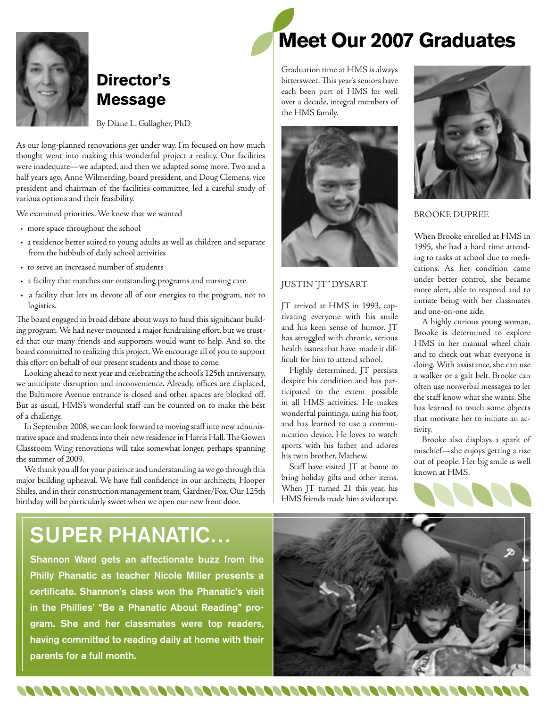

### **Director's Message**

By Diane L. Gallagher, PhD

As our long-planned renovations get under way, I'm focused on how much thought went into making this wonderful project a reality. Our facilities were inadequate—we adapted, and then we adapted some more. Two and a half years ago, Anne Wilmerding, board president, and Doug Clemens, vice president and chairman of the facilities committee, led a careful study of various options and their feasibility.

We examined priorities. We knew that we wanted

- more space throughout the school
- a residence better suited to young adults as well as children and separate from the hubbub of daily school activities
- to serve an increased number of students
- a facility that matches our outstanding programs and nursing care
- a facility that lets us devote all of our energies to the program, not to logistics.

The board engaged in broad debate about ways to fund this significant building program. We had never mounted a major fundraising effort, but we trusted that our many friends and supporters would want to help. And so, the board committed to realizing this project. We encourage all of you to support this effort on behalf of our present students and those to come.

Looking ahead to next year and celebrating the school's 125th anniversary, we anticipate disruption and inconvenience. Already, offices are displaced, the Baltimore Avenue entrance is closed and other spaces are blocked off. But as usual, HMS's wonderful staff can be counted on to make the best of a challenge.

In September 2008, we can look forward to moving staff into new administrative space and students into their new residence in Harris Hall. The Gowen Classroom Wing renovations will take somewhat longer, perhaps spanning the summer of 2009.

We thank you all for your patience and understanding as we go through this major building upheaval. We have full confidence in our architects, Hooper Shiles, and in their construction management team, Gardner/Fox. Our 125th birthday will be particularly sweet when we open our new front door.

# **Meet Our 2007 Graduates**

Graduation time at HMS is always bittersweet. This year's seniors have each been part of HMS for well over a decade, integral members of the HMS family.



#### JUSTIN "JT" DYSART

JT arrived at HMS in 1993, captivating everyone with his smile and his keen sense of humor. JT has struggled with chronic, serious health issues that have made it difficult for him to attend school.

Highly determined, JT persists despite his condition and has participated to the extent possible in all HMS activities. He makes wonderful paintings, using his foot, and has learned to use a communication device. He loves to watch sports with his father and adores his twin brother, Mathew.

Staff have visited JT at home to bring holiday gifts and other items. When JT turned 21 this year, his HMS friends made him a videotape.



#### BROOKE DUPREE

When Brooke enrolled at HMS in 1995, she had a hard time attending to tasks at school due to medications. As her condition came under better control, she became more alert, able to respond and to initiate being with her classmates and one-on-one aide.

A highly curious young woman, Brooke is determined to explore HMS in her manual wheel chair and to check out what everyone is doing. With assistance, she can use a walker or a gait belt. Brooke can often use nonverbal messages to let the staff know what she wants. She has learned to touch some objects that motivate her to initiate an activity.

Brooke also displays a spark of mischief—she enjoys getting a rise out of people. Her big smile is well known at HMS.



## SUPER PHANATIC…

Shannon Ward gets an affectionate buzz from the Philly Phanatic as teacher Nicole Miller presents a certificate. Shannon's class won the Phanatic's visit in the Phillies' "Be a Phanatic About Reading" program. She and her classmates were top readers, having committed to reading daily at home with their parents for a full month.

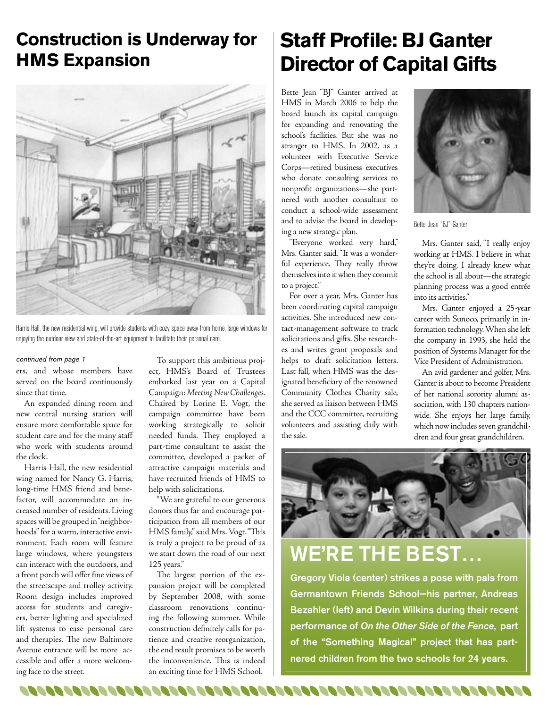## **Construction is Underway for HMS Expansion**



Harris Hall, the new residential wing, will provide students with cozy space away from home, large windows for enjoying the outdoor view and state-of-the-art equipment to facilitate their personal care.

#### continued from page 1

ers, and whose members have served on the board continuously since that time.

An expanded dining room and new central nursing station will ensure more comfortable space for student care and for the many staff who work with students around the clock.

Harris Hall, the new residential wing named for Nancy G. Harris, long-time HMS friend and benefactor, will accommodate an increased number of residents. Living spaces will be grouped in "neighborhoods" for a warm, interactive environment. Each room will feature large windows, where youngsters can interact with the outdoors, and a front porch will offer fine views of the streetscape and trolley activity. Room design includes improved access for students and caregivers, better lighting and specialized lift systems to ease personal care and therapies. The new Baltimore Avenue entrance will be more accessible and offer a more welcoming face to the street.

To support this ambitious project, HMS's Board of Trustees embarked last year on a Capital Campaign: *Meeting New Challenges*. Chaired by Lorine E. Vogt, the campaign committee have been working strategically to solicit needed funds. They employed a part-time consultant to assist the committee, developed a packet of attractive campaign materials and have recruited friends of HMS to help with solicitations.

"We are grateful to our generous donors thus far and encourage participation from all members of our HMS family," said Mrs. Vogt. "This is truly a project to be proud of as we start down the road of our next 125 years."

The largest portion of the expansion project will be completed by September 2008, with some classroom renovations continuing the following summer. While construction definitely calls for patience and creative reorganization, the end result promises to be worth the inconvenience. This is indeed an exciting time for HMS School.

# **Staff Profile: BJ Ganter Director of Capital Gifts**

Bette Jean "BJ" Ganter arrived at HMS in March 2006 to help the board launch its capital campaign for expanding and renovating the school's facilities. But she was no stranger to HMS. In 2002, as a volunteer with Executive Service Corps—retired business executives who donate consulting services to nonprofit organizations—she partnered with another consultant to conduct a school-wide assessment and to advise the board in developing a new strategic plan.

"Everyone worked very hard," Mrs. Ganter said. "It was a wonderful experience. They really throw themselves into it when they commit to a project."

For over a year, Mrs. Ganter has been coordinating capital campaign activities. She introduced new contact-management software to track solicitations and gifts. She researches and writes grant proposals and helps to draft solicitation letters. Last fall, when HMS was the designated beneficiary of the renowned Community Clothes Charity sale, she served as liaison between HMS and the CCC committee, recruiting volunteers and assisting daily with the sale.



Bette Jean "BJ" Ganter

Mrs. Ganter said, "I really enjoy working at HMS. I believe in what they're doing. I already knew what the school is all about—the strategic planning process was a good entrée into its activities."

Mrs. Ganter enjoyed a 25-year career with Sunoco, primarily in information technology. When she left the company in 1993, she held the position of Systems Manager for the Vice President of Administration.

An avid gardener and golfer, Mrs. Ganter is about to become President of her national sorority alumni association, with 130 chapters nationwide. She enjoys her large family, which now includes seven grandchildren and four great grandchildren.



# WE'RE THE BEST…

Gregory Viola (center) strikes a pose with pals from Germantown Friends School—his partner, Andreas Bezahler (left) and Devin Wilkins during their recent performance of On the Other Side of the Fence, part of the "Something Magical" project that has partnered children from the two schools for 24 years.